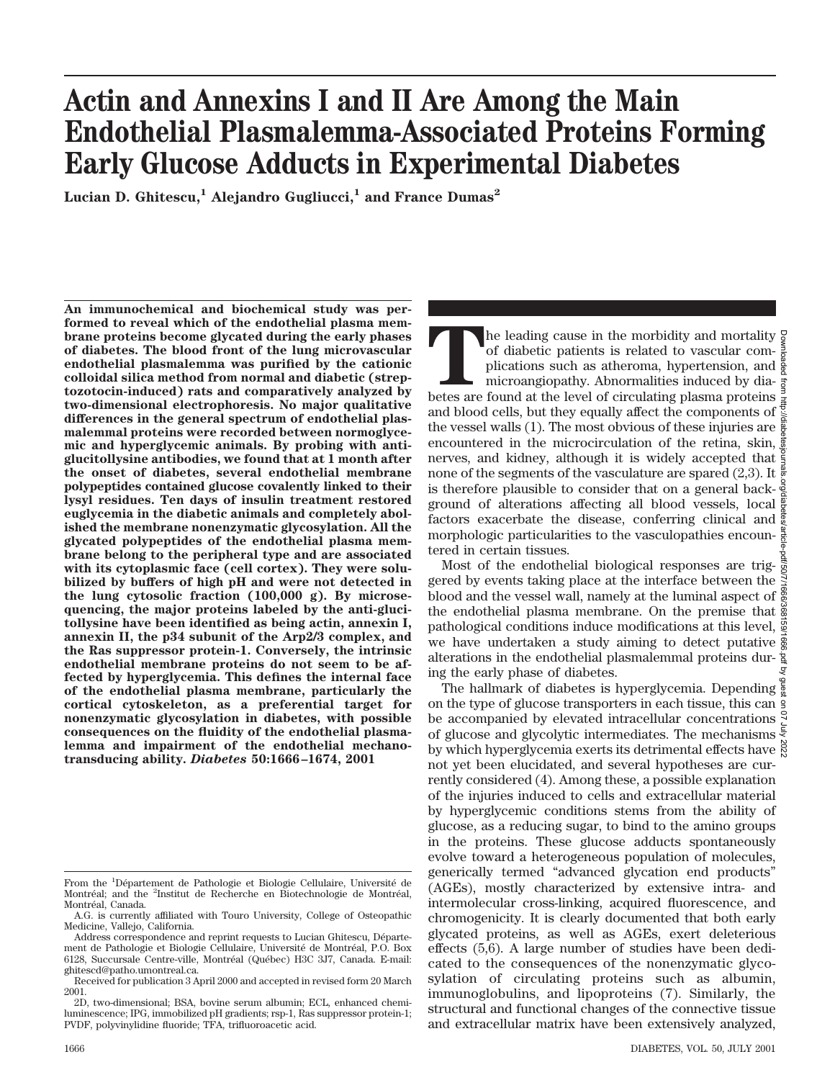# **Actin and Annexins I and II Are Among the Main Endothelial Plasmalemma-Associated Proteins Forming Early Glucose Adducts in Experimental Diabetes**

Lucian D. Ghitescu,<sup>1</sup> Alejandro Gugliucci,<sup>1</sup> and France Dumas<sup>2</sup>

**An immunochemical and biochemical study was performed to reveal which of the endothelial plasma membrane proteins become glycated during the early phases of diabetes. The blood front of the lung microvascular endothelial plasmalemma was purified by the cationic colloidal silica method from normal and diabetic (streptozotocin-induced) rats and comparatively analyzed by two-dimensional electrophoresis. No major qualitative differences in the general spectrum of endothelial plasmalemmal proteins were recorded between normoglycemic and hyperglycemic animals. By probing with antiglucitollysine antibodies, we found that at 1 month after the onset of diabetes, several endothelial membrane polypeptides contained glucose covalently linked to their lysyl residues. Ten days of insulin treatment restored euglycemia in the diabetic animals and completely abolished the membrane nonenzymatic glycosylation. All the glycated polypeptides of the endothelial plasma membrane belong to the peripheral type and are associated with its cytoplasmic face (cell cortex). They were solubilized by buffers of high pH and were not detected in the lung cytosolic fraction (100,000 g). By microsequencing, the major proteins labeled by the anti-glucitollysine have been identified as being actin, annexin I, annexin II, the p34 subunit of the Arp2/3 complex, and the Ras suppressor protein-1. Conversely, the intrinsic endothelial membrane proteins do not seem to be affected by hyperglycemia. This defines the internal face of the endothelial plasma membrane, particularly the cortical cytoskeleton, as a preferential target for nonenzymatic glycosylation in diabetes, with possible consequences on the fluidity of the endothelial plasmalemma and impairment of the endothelial mechanotransducing ability.** *Diabetes* **50:1666–1674, 2001**

The leading cause in the morbidity and mortality of diabetic patients is related to vascular complications such as atheroma, hypertension, and microangiopathy. Abnormalities induced by diabetes are found at the level of ci of diabetic patients is related to vascular complications such as atheroma, hypertension, and microangiopathy. Abnormalities induced by dia- $\frac{1}{3}$ betes are found at the level of circulating plasma proteins  $\frac{3}{4}$ and blood cells, but they equally affect the components of  $\frac{3}{5}$ the vessel walls (1). The most obvious of these injuries are  $\frac{3}{5}$ encountered in the microcirculation of the retina, skin, nerves, and kidney, although it is widely accepted that none of the segments of the vasculature are spared (2,3). It is therefore plausible to consider that on a general background of alterations affecting all blood vessels, local  $\frac{3}{5}$ factors exacerbate the disease, conferring clinical and  $\frac{3}{8}$ morphologic particularities to the vasculopathies encountered in certain tissues. Downloaded from http://diabetesjournals.org/diabetes/article-pdf/50/7/1666/368159/1666.pdf by guest on 07 July 2022

Most of the endothelial biological responses are triggered by events taking place at the interface between the blood and the vessel wall, namely at the luminal aspect of  $\ddot{\tilde{\mathbf{g}}}$ the endothelial plasma membrane. On the premise that  $\frac{8}{9}$ pathological conditions induce modifications at this level, we have undertaken a study aiming to detect putative  $\frac{3}{8}$ alterations in the endothelial plasmalemmal proteins during the early phase of diabetes.

The hallmark of diabetes is hyperglycemia. Depending  $\frac{6}{5}$ on the type of glucose transporters in each tissue, this can be accompanied by elevated intracellular concentrations  $\frac{5}{2}$ of glucose and glycolytic intermediates. The mechanisms  $\frac{5}{5}$ by which hyperglycemia exerts its detrimental effects have not yet been elucidated, and several hypotheses are currently considered (4). Among these, a possible explanation of the injuries induced to cells and extracellular material by hyperglycemic conditions stems from the ability of glucose, as a reducing sugar, to bind to the amino groups in the proteins. These glucose adducts spontaneously evolve toward a heterogeneous population of molecules, generically termed "advanced glycation end products" (AGEs), mostly characterized by extensive intra- and intermolecular cross-linking, acquired fluorescence, and chromogenicity. It is clearly documented that both early glycated proteins, as well as AGEs, exert deleterious effects (5,6). A large number of studies have been dedicated to the consequences of the nonenzymatic glycosylation of circulating proteins such as albumin, immunoglobulins, and lipoproteins (7). Similarly, the structural and functional changes of the connective tissue and extracellular matrix have been extensively analyzed,

From the <sup>1</sup>Département de Pathologie et Biologie Cellulaire, Université de Montréal; and the <sup>2</sup>Institut de Recherche en Biotechnologie de Montréal, Montréal, Canada.

A.G. is currently affiliated with Touro University, College of Osteopathic Medicine, Vallejo, California.

Address correspondence and reprint requests to Lucian Ghitescu, Département de Pathologie et Biologie Cellulaire, Université de Montréal, P.O. Box 6128, Succursale Centre-ville, Montréal (Québec) H3C 3J7, Canada. E-mail: ghitescd@patho.umontreal.ca.

Received for publication 3 April 2000 and accepted in revised form 20 March 2001.

<sup>2</sup>D, two-dimensional; BSA, bovine serum albumin; ECL, enhanced chemiluminescence; IPG, immobilized pH gradients; rsp-1, Ras suppressor protein-1; PVDF, polyvinylidine fluoride; TFA, trifluoroacetic acid.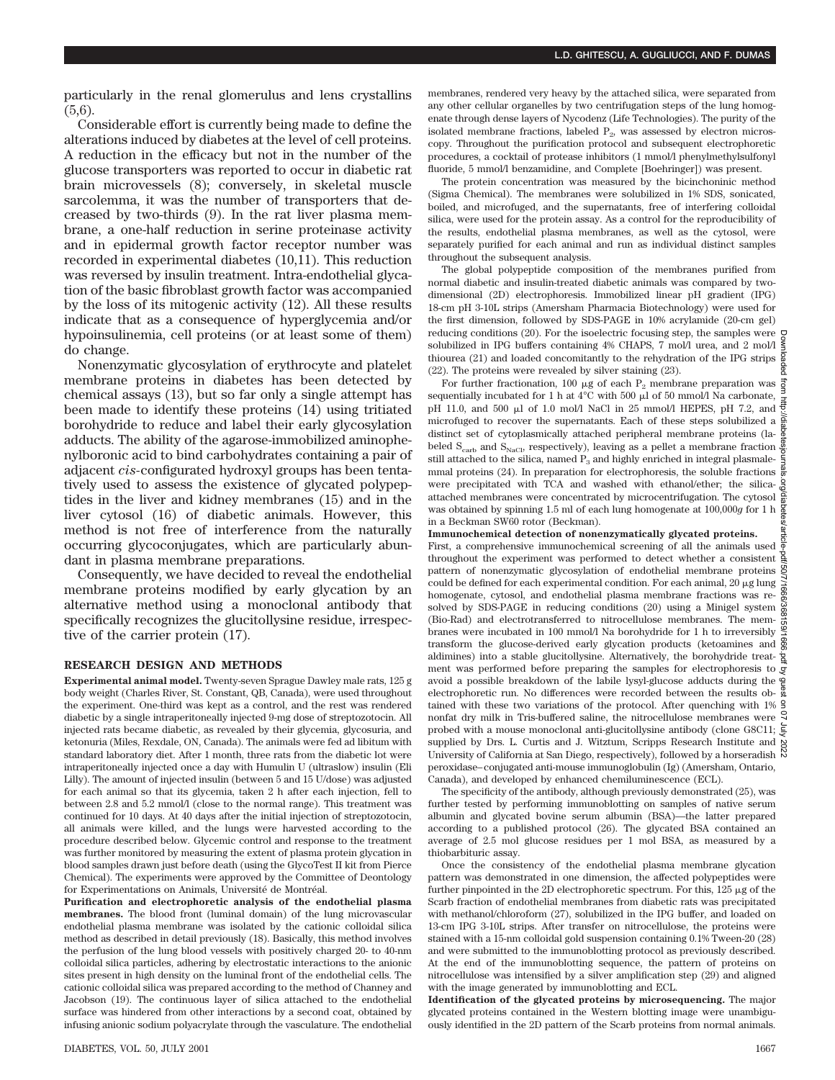particularly in the renal glomerulus and lens crystallins (5,6).

Considerable effort is currently being made to define the alterations induced by diabetes at the level of cell proteins. A reduction in the efficacy but not in the number of the glucose transporters was reported to occur in diabetic rat brain microvessels (8); conversely, in skeletal muscle sarcolemma, it was the number of transporters that decreased by two-thirds (9). In the rat liver plasma membrane, a one-half reduction in serine proteinase activity and in epidermal growth factor receptor number was recorded in experimental diabetes (10,11). This reduction was reversed by insulin treatment. Intra-endothelial glycation of the basic fibroblast growth factor was accompanied by the loss of its mitogenic activity (12). All these results indicate that as a consequence of hyperglycemia and/or hypoinsulinemia, cell proteins (or at least some of them) do change.

Nonenzymatic glycosylation of erythrocyte and platelet membrane proteins in diabetes has been detected by chemical assays (13), but so far only a single attempt has been made to identify these proteins (14) using tritiated borohydride to reduce and label their early glycosylation adducts. The ability of the agarose-immobilized aminophenylboronic acid to bind carbohydrates containing a pair of adjacent *cis-*configurated hydroxyl groups has been tentatively used to assess the existence of glycated polypeptides in the liver and kidney membranes (15) and in the liver cytosol (16) of diabetic animals. However, this method is not free of interference from the naturally occurring glycoconjugates, which are particularly abundant in plasma membrane preparations.

Consequently, we have decided to reveal the endothelial membrane proteins modified by early glycation by an alternative method using a monoclonal antibody that specifically recognizes the glucitollysine residue, irrespective of the carrier protein (17).

### **RESEARCH DESIGN AND METHODS**

**Experimental animal model.** Twenty-seven Sprague Dawley male rats, 125 g body weight (Charles River, St. Constant, QB, Canada), were used throughout the experiment. One-third was kept as a control, and the rest was rendered diabetic by a single intraperitoneally injected 9-mg dose of streptozotocin. All injected rats became diabetic, as revealed by their glycemia, glycosuria, and ketonuria (Miles, Rexdale, ON, Canada). The animals were fed ad libitum with standard laboratory diet. After 1 month, three rats from the diabetic lot were intraperitoneally injected once a day with Humulin U (ultraslow) insulin (Eli Lilly). The amount of injected insulin (between 5 and 15 U/dose) was adjusted for each animal so that its glycemia, taken 2 h after each injection, fell to between 2.8 and 5.2 mmol/l (close to the normal range). This treatment was continued for 10 days. At 40 days after the initial injection of streptozotocin, all animals were killed, and the lungs were harvested according to the procedure described below. Glycemic control and response to the treatment was further monitored by measuring the extent of plasma protein glycation in blood samples drawn just before death (using the GlycoTest II kit from Pierce Chemical). The experiments were approved by the Committee of Deontology for Experimentations on Animals, Université de Montréal.

**Purification and electrophoretic analysis of the endothelial plasma membranes.** The blood front (luminal domain) of the lung microvascular endothelial plasma membrane was isolated by the cationic colloidal silica method as described in detail previously (18). Basically, this method involves the perfusion of the lung blood vessels with positively charged 20- to 40-nm colloidal silica particles, adhering by electrostatic interactions to the anionic sites present in high density on the luminal front of the endothelial cells. The cationic colloidal silica was prepared according to the method of Channey and Jacobson (19). The continuous layer of silica attached to the endothelial surface was hindered from other interactions by a second coat, obtained by infusing anionic sodium polyacrylate through the vasculature. The endothelial

membranes, rendered very heavy by the attached silica, were separated from any other cellular organelles by two centrifugation steps of the lung homogenate through dense layers of Nycodenz (Life Technologies). The purity of the isolated membrane fractions, labeled  $P_2$ , was assessed by electron microscopy. Throughout the purification protocol and subsequent electrophoretic procedures, a cocktail of protease inhibitors (1 mmol/l phenylmethylsulfonyl fluoride, 5 mmol/l benzamidine, and Complete [Boehringer]) was present.

The protein concentration was measured by the bicinchoninic method (Sigma Chemical). The membranes were solubilized in 1% SDS, sonicated, boiled, and microfuged, and the supernatants, free of interfering colloidal silica, were used for the protein assay. As a control for the reproducibility of the results, endothelial plasma membranes, as well as the cytosol, were separately purified for each animal and run as individual distinct samples throughout the subsequent analysis.

The global polypeptide composition of the membranes purified from normal diabetic and insulin-treated diabetic animals was compared by twodimensional (2D) electrophoresis. Immobilized linear pH gradient (IPG) 18-cm pH 3-10L strips (Amersham Pharmacia Biotechnology) were used for the first dimension, followed by SDS-PAGE in 10% acrylamide (20-cm gel) reducing conditions (20). For the isoelectric focusing step, the samples were solubilized in IPG buffers containing 4% CHAPS, 7 mol/l urea, and 2 mol/l thiourea (21) and loaded concomitantly to the rehydration of the IPG strips (22). The proteins were revealed by silver staining (23).

For further fractionation, 100  $\mu$ g of each P<sub>2</sub> membrane preparation was  $\frac{3}{5}$ sequentially incubated for 1 h at  $4^{\circ}$ C with 500  $\mu$ l of 50 mmol/l Na carbonate, sequentially incubated for 1 h at 4°C with 500  $\mu$ l of 50 mmol/l Na carbonate,  $\frac{1}{2}$  pH 11.0, and 500  $\mu$ l of 1.0 mol/l NaCl in 25 mmol/l HEPES, pH 7.2, and  $\frac{1}{2}$ microfuged to recover the supernatants. Each of these steps solubilized a  $\frac{3}{8}$ distinct set of cytoplasmically attached peripheral membrane proteins (la- $\frac{8}{9}$ ) beled  $S_{\text{carb}}$  and  $S_{\text{NaCl}}$ , respectively), leaving as a pellet a membrane fraction  $\frac{36}{5}$  still attached to the silica, named  $P_3$  and highly enriched in integral plasmalestill attached to the silica, named  $P_3$  and highly enriched in integral plasmale-<br>mmal proteins (24). In preparation for electrophoresis, the soluble fractions were precipitated with TCA and washed with ethanol/ether; the silicaattached membranes were concentrated by microcentrifugation. The cytosol was obtained by spinning 1.5 ml of each lung homogenate at 100,000*g* for 1 h in a Beckman SW60 rotor (Beckman).

#### **Immunochemical detection of nonenzymatically glycated proteins.**

First, a comprehensive immunochemical screening of all the animals used  $\frac{5}{9}$ throughout the experiment was performed to detect whether a consistent  $\frac{1}{2}$ pattern of nonenzymatic glycosylation of endothelial membrane proteins could be defined for each experimental condition. For each animal,  $20 \mu g$  lung homogenate, cytosol, and endothelial plasma membrane fractions was resolved by SDS-PAGE in reducing conditions (20) using a Minigel system (Bio-Rad) and electrotransferred to nitrocellulose membranes. The membranes were incubated in 100 mmol/l Na borohydride for 1 h to irreversibly  $\frac{6}{5}$ transform the glucose-derived early glycation products (ketoamines and  $\frac{3}{8}$ ) aldimines) into a stable glucitollysine. Alternatively, the borohydride treatment was performed before preparing the samples for electrophoresis to  $\vec{g}$ avoid a possible breakdown of the labile lysyl-glucose adducts during the electrophoretic run. No differences were recorded between the results obtained with these two variations of the protocol. After quenching with 1%  $\frac{9}{5}$ nonfat dry milk in Tris-buffered saline, the nitrocellulose membranes were  $\Im$ probed with a mouse monoclonal anti-glucitolly sine antibody (clone G8C11;  $\overline{\xi}$ ) supplied by Drs. L. Curtis and J. Witztum, Scripps Research Institute and University of California at San Diego, respectively), followed by a horseradish  $\stackrel{\infty}{\sim}$ peroxidase–conjugated anti-mouse immunoglobulin (Ig) (Amersham, Ontario, Canada), and developed by enhanced chemiluminescence (ECL). Downloaded from http://diabetesjournals.org/diabetes/article-pdf/50/7/1666/368159/1666.pdf by guest on 07 July 2022

The specificity of the antibody, although previously demonstrated (25), was further tested by performing immunoblotting on samples of native serum albumin and glycated bovine serum albumin (BSA)—the latter prepared according to a published protocol (26). The glycated BSA contained an average of 2.5 mol glucose residues per 1 mol BSA, as measured by a thiobarbituric assay.

Once the consistency of the endothelial plasma membrane glycation pattern was demonstrated in one dimension, the affected polypeptides were further pinpointed in the 2D electrophoretic spectrum. For this,  $125 \mu$ g of the Scarb fraction of endothelial membranes from diabetic rats was precipitated with methanol/chloroform (27), solubilized in the IPG buffer, and loaded on 13-cm IPG 3-10L strips. After transfer on nitrocellulose, the proteins were stained with a 15-nm colloidal gold suspension containing 0.1% Tween-20 (28) and were submitted to the immunoblotting protocol as previously described. At the end of the immunoblotting sequence, the pattern of proteins on nitrocellulose was intensified by a silver amplification step (29) and aligned with the image generated by immunoblotting and ECL.

**Identification of the glycated proteins by microsequencing.** The major glycated proteins contained in the Western blotting image were unambiguously identified in the 2D pattern of the Scarb proteins from normal animals.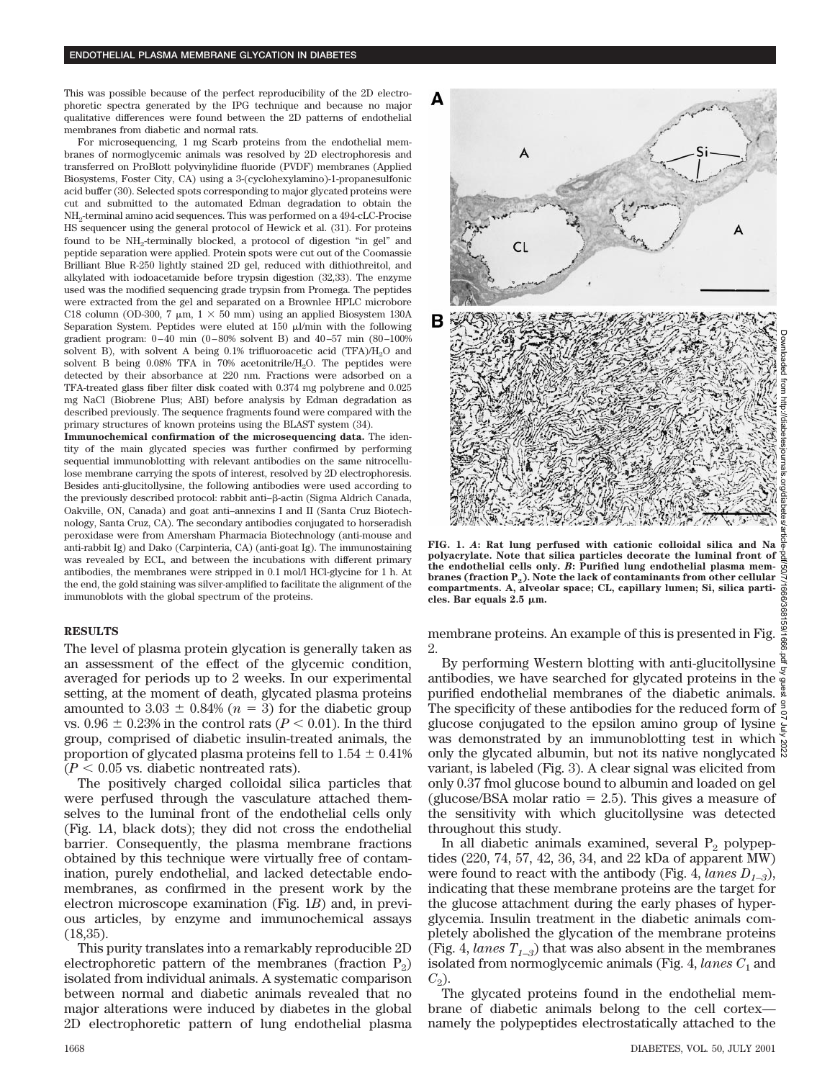This was possible because of the perfect reproducibility of the 2D electrophoretic spectra generated by the IPG technique and because no major qualitative differences were found between the 2D patterns of endothelial membranes from diabetic and normal rats.

For microsequencing, 1 mg Scarb proteins from the endothelial membranes of normoglycemic animals was resolved by 2D electrophoresis and transferred on ProBlott polyvinylidine fluoride (PVDF) membranes (Applied Biosystems, Foster City, CA) using a 3-(cyclohexylamino)-1-propanesulfonic acid buffer (30). Selected spots corresponding to major glycated proteins were cut and submitted to the automated Edman degradation to obtain the NH2-terminal amino acid sequences. This was performed on a 494-cLC-Procise HS sequencer using the general protocol of Hewick et al. (31). For proteins found to be  $NH<sub>2</sub>$ -terminally blocked, a protocol of digestion "in gel" and peptide separation were applied. Protein spots were cut out of the Coomassie Brilliant Blue R-250 lightly stained 2D gel, reduced with dithiothreitol, and alkylated with iodoacetamide before trypsin digestion (32,33). The enzyme used was the modified sequencing grade trypsin from Promega. The peptides were extracted from the gel and separated on a Brownlee HPLC microbore C18 column (OD-300, 7  $\mu$ m, 1  $\times$  50 mm) using an applied Biosystem 130A Separation System. Peptides were eluted at 150  $\mu$ l/min with the following gradient program: 0–40 min (0–80% solvent B) and 40–57 min (80–100% solvent B), with solvent A being  $0.1\%$  trifluoroacetic acid (TFA)/H<sub>2</sub>O and solvent B being 0.08% TFA in 70% acetonitrile/ $H_2O$ . The peptides were detected by their absorbance at 220 nm. Fractions were adsorbed on a TFA-treated glass fiber filter disk coated with 0.374 mg polybrene and 0.025 mg NaCl (Biobrene Plus; ABI) before analysis by Edman degradation as described previously. The sequence fragments found were compared with the primary structures of known proteins using the BLAST system (34).

**Immunochemical confirmation of the microsequencing data.** The identity of the main glycated species was further confirmed by performing sequential immunoblotting with relevant antibodies on the same nitrocellulose membrane carrying the spots of interest, resolved by 2D electrophoresis. Besides anti-glucitollysine, the following antibodies were used according to the previously described protocol: rabbit anti-β-actin (Sigma Aldrich Canada, Oakville, ON, Canada) and goat anti–annexins I and II (Santa Cruz Biotechnology, Santa Cruz, CA). The secondary antibodies conjugated to horseradish peroxidase were from Amersham Pharmacia Biotechnology (anti-mouse and anti-rabbit Ig) and Dako (Carpinteria, CA) (anti-goat Ig). The immunostaining was revealed by ECL, and between the incubations with different primary antibodies, the membranes were stripped in 0.1 mol/l HCl-glycine for 1 h. At the end, the gold staining was silver-amplified to facilitate the alignment of the immunoblots with the global spectrum of the proteins.

## **RESULTS**

The level of plasma protein glycation is generally taken as an assessment of the effect of the glycemic condition, averaged for periods up to 2 weeks. In our experimental setting, at the moment of death, glycated plasma proteins amounted to  $3.03 \pm 0.84\%$  ( $n = 3$ ) for the diabetic group vs.  $0.96 \pm 0.23\%$  in the control rats ( $P < 0.01$ ). In the third group, comprised of diabetic insulin-treated animals, the proportion of glycated plasma proteins fell to  $1.54 \pm 0.41\%$  $(P < 0.05$  vs. diabetic nontreated rats).

The positively charged colloidal silica particles that were perfused through the vasculature attached themselves to the luminal front of the endothelial cells only (Fig. 1*A*, black dots); they did not cross the endothelial barrier. Consequently, the plasma membrane fractions obtained by this technique were virtually free of contamination, purely endothelial, and lacked detectable endomembranes, as confirmed in the present work by the electron microscope examination (Fig. 1*B*) and, in previous articles, by enzyme and immunochemical assays (18,35).

This purity translates into a remarkably reproducible 2D electrophoretic pattern of the membranes (fraction  $P_2$ ) isolated from individual animals. A systematic comparison between normal and diabetic animals revealed that no major alterations were induced by diabetes in the global 2D electrophoretic pattern of lung endothelial plasma



**FIG. 1.** *A***: Rat lung perfused with cationic colloidal silica and Na polyacrylate. Note that silica particles decorate the luminal front of the endothelial cells only.** *B***: Purified lung endothelial plasma mem**branes (fraction P<sub>2</sub>). Note the lack of contaminants from other cellular compartments. A, alveolar space; CL, capillary lumen; Si, silica parti**cles. Bar equals 2.5 μm.** 

membrane proteins. An example of this is presented in Fig. 2.

By performing Western blotting with anti-glucitollysine  $\frac{8}{9}$ antibodies, we have searched for glycated proteins in the purified endothelial membranes of the diabetic animals.  $\frac{8}{3}$ The specificity of these antibodies for the reduced form of  $\frac{9}{2}$ glucose conjugated to the epsilon amino group of lysine  $\frac{3}{5}$ was demonstrated by an immunoblotting test in which  $\zeta$ only the glycated albumin, but not its native nonglycated  $\tilde{N}$ variant, is labeled (Fig. 3). A clear signal was elicited from only 0.37 fmol glucose bound to albumin and loaded on gel (glucose/BSA molar ratio  $= 2.5$ ). This gives a measure of the sensitivity with which glucitollysine was detected throughout this study.

In all diabetic animals examined, several  $P_2$  polypeptides (220, 74, 57, 42, 36, 34, and 22 kDa of apparent MW) were found to react with the antibody (Fig. 4, *lanes*  $D_{1-3}$ ), indicating that these membrane proteins are the target for the glucose attachment during the early phases of hyperglycemia. Insulin treatment in the diabetic animals completely abolished the glycation of the membrane proteins (Fig. 4, *lanes*  $T_{1-3}$ ) that was also absent in the membranes isolated from normoglycemic animals (Fig.  $4$ , *lanes*  $C_1$  and  $C_2$ ).

The glycated proteins found in the endothelial membrane of diabetic animals belong to the cell cortex namely the polypeptides electrostatically attached to the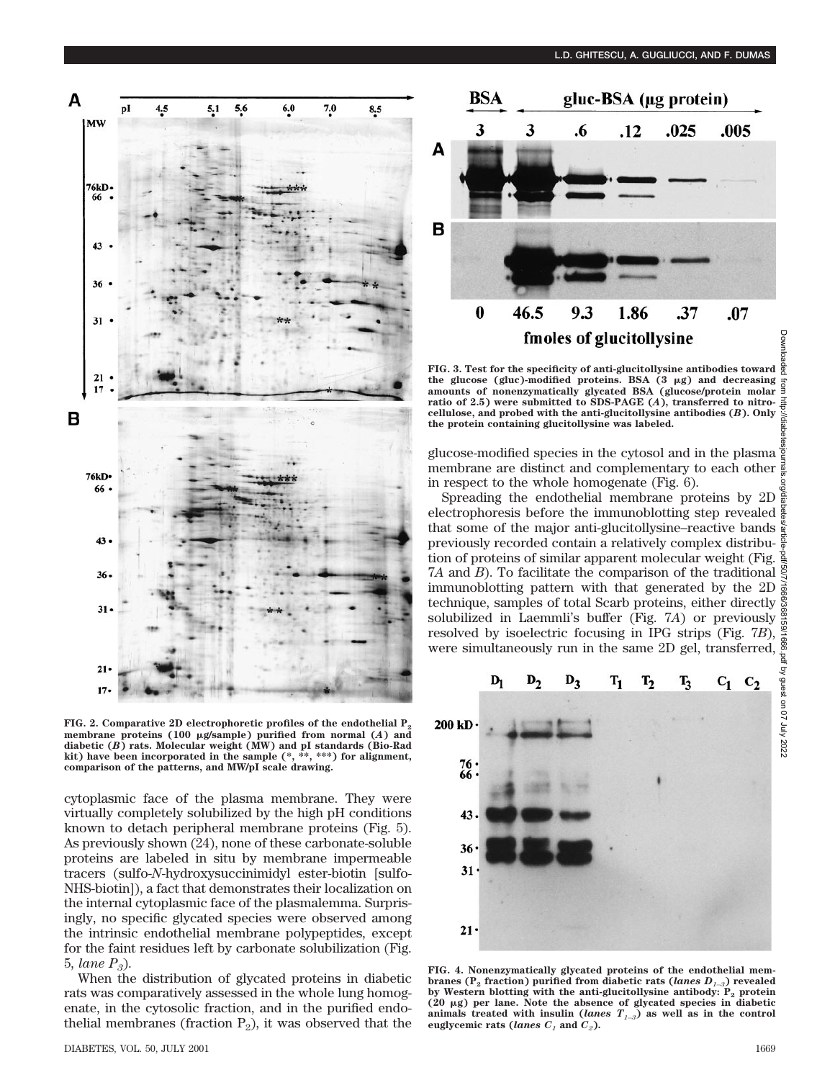

**FIG. 2. Comparative 2D electrophoretic profiles of the endothelial P2 membrane proteins (100** m**g/sample) purified from normal (***A***) and diabetic (***B***) rats. Molecular weight (MW) and pI standards (Bio-Rad kit) have been incorporated in the sample (\*, \*\*, \*\*\*) for alignment, comparison of the patterns, and MW/pI scale drawing.**

cytoplasmic face of the plasma membrane. They were virtually completely solubilized by the high pH conditions known to detach peripheral membrane proteins (Fig. 5). As previously shown (24), none of these carbonate-soluble proteins are labeled in situ by membrane impermeable tracers (sulfo-*N*-hydroxysuccinimidyl ester-biotin [sulfo-NHS-biotin]), a fact that demonstrates their localization on the internal cytoplasmic face of the plasmalemma. Surprisingly, no specific glycated species were observed among the intrinsic endothelial membrane polypeptides, except for the faint residues left by carbonate solubilization (Fig. 5, *lane*  $P_3$ ).

When the distribution of glycated proteins in diabetic rats was comparatively assessed in the whole lung homogenate, in the cytosolic fraction, and in the purified endothelial membranes (fraction  $P_2$ ), it was observed that the



**FIG. 3. Test for the specificity of anti-glucitollysine antibodies toward the glucose (gluc)-modified proteins. BSA (3** m**g) and decreasing** ШОШ **amounts of nonenzymatically glycated BSA (glucose/protein molar ratio of 2.5) were submitted to SDS-PAGE (***A***), transferred to nitrocellulose, and probed with the anti-glucitollysine antibodies (***B***). Only the protein containing glucitollysine was labeled.**

glucose-modified species in the cytosol and in the plasma membrane are distinct and complementary to each other in respect to the whole homogenate (Fig. 6).

Spreading the endothelial membrane proteins by  $2D\frac{5}{9}$ electrophoresis before the immunoblotting step revealed  $\frac{8}{8}$ that some of the major anti-glucitollysine–reactive bands previously recorded contain a relatively complex distribu- $\frac{5}{9}$ tion of proteins of similar apparent molecular weight (Fig. 7*A* and *B*). To facilitate the comparison of the traditional immunoblotting pattern with that generated by the 2D technique, samples of total Scarb proteins, either directly solubilized in Laemmli's buffer (Fig. 7*A*) or previously resolved by isoelectric focusing in IPG strips (Fig. 7*B*), were simultaneously run in the same 2D gel, transferred,



**FIG. 4. Nonenzymatically glycated proteins of the endothelial membranes (P2 fraction) purified from diabetic rats (***lanes D1–3***) revealed** by Western blotting with the anti-glucitollysine antibody:  $P_2$  protein **(20** m**g) per lane. Note the absence of glycated species in diabetic animals treated with insulin (***lanes T1–3***) as well as in the control** euglycemic rats (*lanes*  $C_1$  and  $C_2$ ).

DINWOO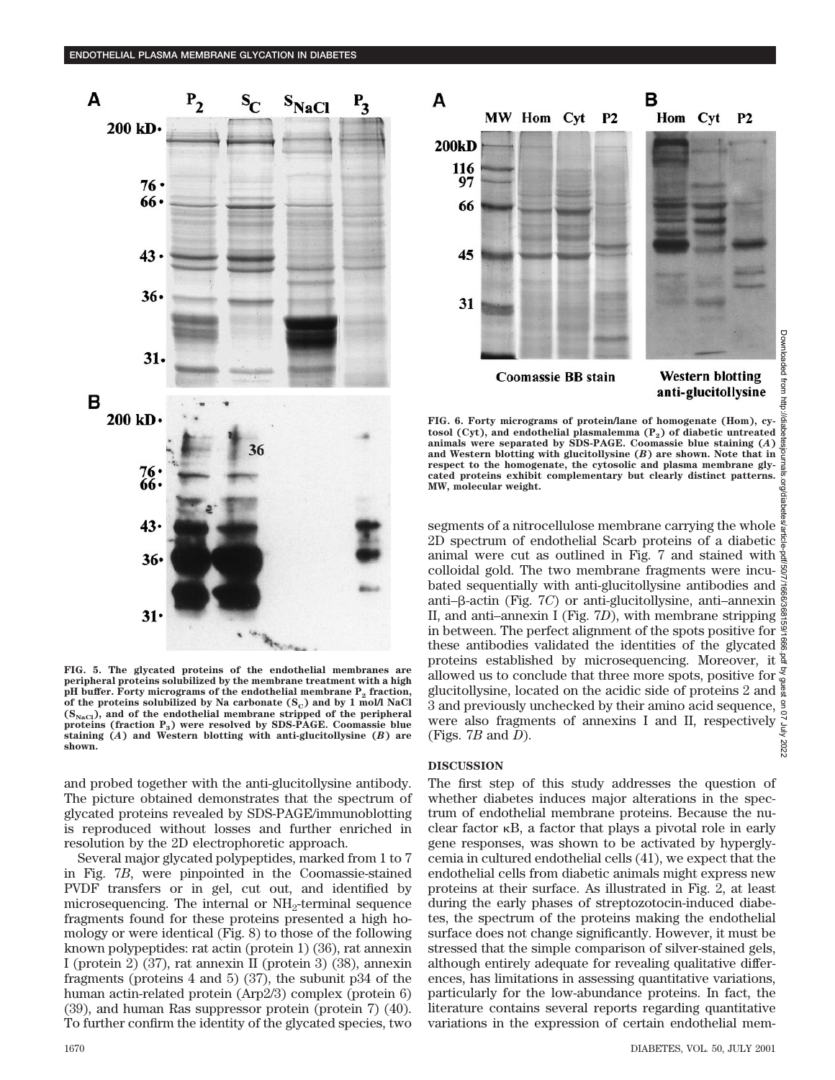

**FIG. 5. The glycated proteins of the endothelial membranes are peripheral proteins solubilized by the membrane treatment with a high pH** buffer. Forty micrograms of the endothelial membrane  $P_2$  fraction, of the proteins solubilized by Na carbonate (S<sub>C</sub>) and by 1 mol/l NaCl (S<sub>NaCl</sub>), and of the endothelial membrane stripped of the peripheral **proteins (fraction P3) were resolved by SDS-PAGE. Coomassie blue staining (***A***) and Western blotting with anti-glucitollysine (***B***) are shown.**

and probed together with the anti-glucitollysine antibody. The picture obtained demonstrates that the spectrum of glycated proteins revealed by SDS-PAGE/immunoblotting is reproduced without losses and further enriched in resolution by the 2D electrophoretic approach.

Several major glycated polypeptides, marked from 1 to 7 in Fig. 7*B*, were pinpointed in the Coomassie-stained PVDF transfers or in gel, cut out, and identified by microsequencing. The internal or  $NH<sub>2</sub>$ -terminal sequence fragments found for these proteins presented a high homology or were identical (Fig. 8) to those of the following known polypeptides: rat actin (protein 1) (36), rat annexin I (protein 2) (37), rat annexin II (protein 3) (38), annexin fragments (proteins 4 and 5) (37), the subunit p34 of the human actin-related protein (Arp2/3) complex (protein 6) (39), and human Ras suppressor protein (protein 7) (40). To further confirm the identity of the glycated species, two



MW Hom Cyt

A

**200kD** 116 97

## **Western blotting** anti-glucitollysine

в

Hom Cyt

 $P<sub>2</sub>$ 

 $P<sub>2</sub>$ 

**FIG. 6. Forty micrograms of protein/lane of homogenate (Hom), cytosol (Cyt), and endothelial plasmalemma (P2) of diabetic untreated animals were separated by SDS-PAGE. Coomassie blue staining (***A***) and Western blotting with glucitollysine (***B***) are shown. Note that in respect to the homogenate, the cytosolic and plasma membrane glycated proteins exhibit complementary but clearly distinct patterns.**

segments of a nitrocellulose membrane carrying the whole 2D spectrum of endothelial Scarb proteins of a diabetic  $\frac{3}{8}$ animal were cut as outlined in Fig. 7 and stained with  $\frac{3}{4}$ colloidal gold. The two membrane fragments were incubated sequentially with anti-glucitollysine antibodies and anti–b-actin (Fig. 7*C*) or anti-glucitollysine, anti–annexin II, and anti–annexin I (Fig. 7*D*), with membrane stripping in between. The perfect alignment of the spots positive for these antibodies validated the identities of the glycated  $\frac{8}{9}$ proteins established by microsequencing. Moreover, it  $\frac{8}{3}$ allowed us to conclude that three more spots, positive for  $\frac{9}{4}$ glucitolly sine, located on the acidic side of proteins 2 and  $\frac{5}{6}$ 3 and previously unchecked by their amino acid sequence, 3 and previously unchecked by then there are  $\frac{1}{2}$  were also fragments of annexins I and II, respectively (Figs. 7*B* and *D*).

## **DISCUSSION**

The first step of this study addresses the question of whether diabetes induces major alterations in the spectrum of endothelial membrane proteins. Because the nuclear factor  $\kappa$ B, a factor that plays a pivotal role in early gene responses, was shown to be activated by hyperglycemia in cultured endothelial cells (41), we expect that the endothelial cells from diabetic animals might express new proteins at their surface. As illustrated in Fig. 2, at least during the early phases of streptozotocin-induced diabetes, the spectrum of the proteins making the endothelial surface does not change significantly. However, it must be stressed that the simple comparison of silver-stained gels, although entirely adequate for revealing qualitative differences, has limitations in assessing quantitative variations, particularly for the low-abundance proteins. In fact, the literature contains several reports regarding quantitative variations in the expression of certain endothelial mem-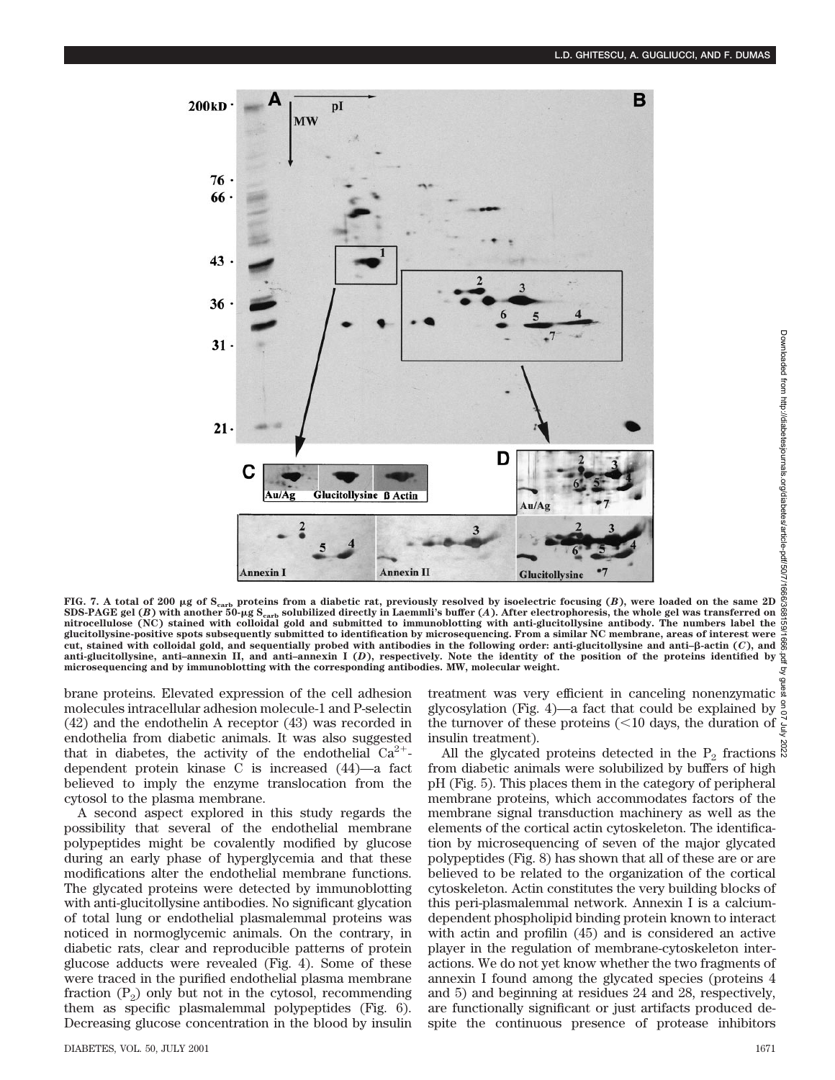

FIG. 7. A total of 200 µg of S<sub>carb</sub> proteins from a diabetic rat, previously resolved by isoelectric focusing (*B*), were loaded on the same 2D<br>SDS-PAGE gel (*B*) with another 50-µg S<sub>carb</sub> solubilized directly in Laemml glucitollysine-positive spots subsequently submitted to identification by microsequencing. From a similar NC membrane, areas of interest were<br>cut, stained with colloidal gold, and sequentially probed with antibodies in th anti-glucitollysine, anti-annexin II, and anti-annexin I (*D*), respectively. Note the identity of the position of the proteins identified by  $\frac{8}{9}$ **microsequencing and by immunoblotting with the corresponding antibodies. MW, molecular weight.**

brane proteins. Elevated expression of the cell adhesion molecules intracellular adhesion molecule-1 and P-selectin (42) and the endothelin A receptor (43) was recorded in endothelia from diabetic animals. It was also suggested that in diabetes, the activity of the endothelial  $Ca^{2+}$ dependent protein kinase C is increased (44)—a fact believed to imply the enzyme translocation from the cytosol to the plasma membrane.

A second aspect explored in this study regards the possibility that several of the endothelial membrane polypeptides might be covalently modified by glucose during an early phase of hyperglycemia and that these modifications alter the endothelial membrane functions. The glycated proteins were detected by immunoblotting with anti-glucitollysine antibodies. No significant glycation of total lung or endothelial plasmalemmal proteins was noticed in normoglycemic animals. On the contrary, in diabetic rats, clear and reproducible patterns of protein glucose adducts were revealed (Fig. 4). Some of these were traced in the purified endothelial plasma membrane fraction  $(P_2)$  only but not in the cytosol, recommending them as specific plasmalemmal polypeptides (Fig. 6). Decreasing glucose concentration in the blood by insulin

treatment was very efficient in canceling nonenzymatic  $\frac{3}{4}$ glycosylation (Fig. 4)—a fact that could be explained by the turnover of these proteins  $\left($  < 10 days, the duration of insulin treatment).

All the glycated proteins detected in the  $P_2$  fractions  $\frac{8}{3}$ from diabetic animals were solubilized by buffers of high pH (Fig. 5). This places them in the category of peripheral membrane proteins, which accommodates factors of the membrane signal transduction machinery as well as the elements of the cortical actin cytoskeleton. The identification by microsequencing of seven of the major glycated polypeptides (Fig. 8) has shown that all of these are or are believed to be related to the organization of the cortical cytoskeleton. Actin constitutes the very building blocks of this peri-plasmalemmal network. Annexin I is a calciumdependent phospholipid binding protein known to interact with actin and profilin (45) and is considered an active player in the regulation of membrane-cytoskeleton interactions. We do not yet know whether the two fragments of annexin I found among the glycated species (proteins 4 and 5) and beginning at residues 24 and 28, respectively, are functionally significant or just artifacts produced despite the continuous presence of protease inhibitors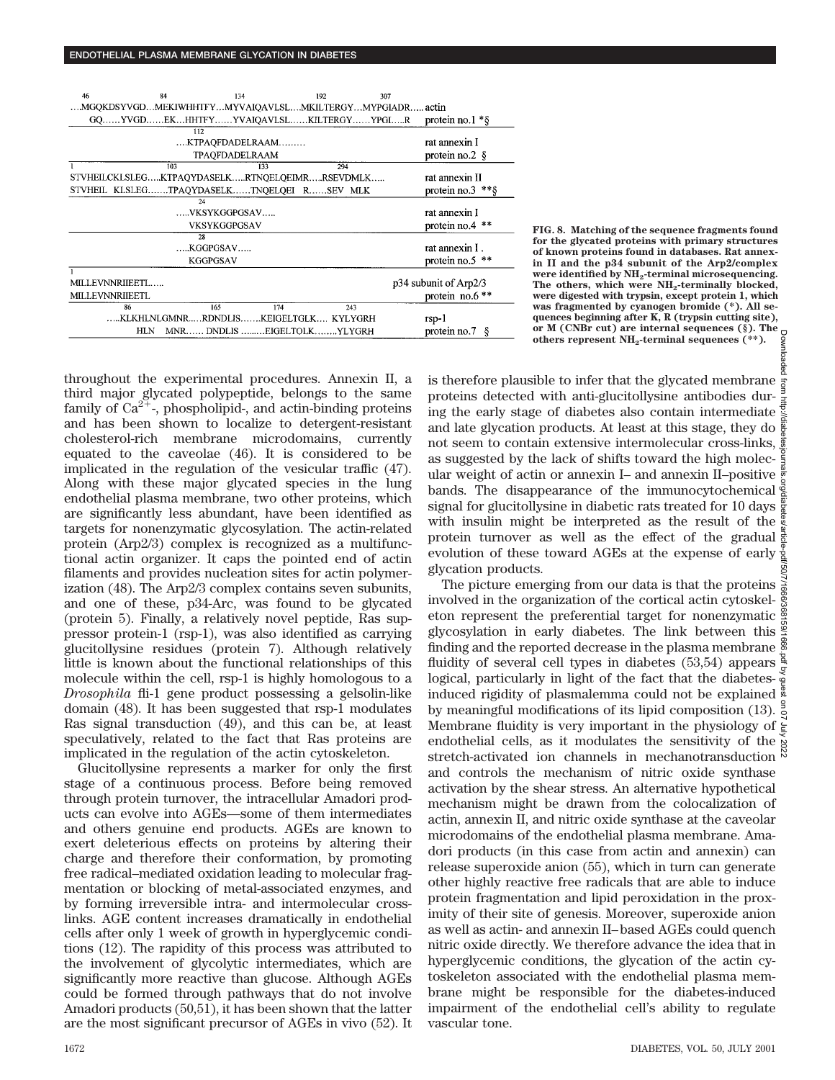| OV I YODENIIIIII I I VAIQAYLOLNILIENO I IFOIN | <b>DIVIGELIEU.IV</b>  |
|-----------------------------------------------|-----------------------|
| 112                                           |                       |
| KTPAQFDADELRAAM                               | rat annexin I         |
| TPAOFDADELRAAM                                | protein no.2 $\delta$ |
| 103<br>133<br>294                             |                       |
| STVHEILCKLSLEGKTPAQYDASELKRTNQELQEIMRRSEVDMLK | rat annexin II        |
| STVHEIL KLSLEGTPAOYDASELKTNOELOEI RSEV MLK    | protein no.3 $**\$    |
| 24                                            |                       |
| VKSYKGGPGSAV                                  | rat annexin I         |
| VKSYKGGPGSAV                                  | protein no.4 $**$     |
| 28                                            |                       |
| KGGPGSAV                                      | rat annexin I.        |
| <b>KGGPGSAV</b>                               | protein no.5 $**$     |
|                                               |                       |
| MILLEVNNRIIEETL                               | p34 subunit of Arp2/3 |
| MILLEVNNRIIEETL                               | protein no.6 **       |
| 165<br>174<br>86<br>243                       |                       |
| KLKHLNLGMNRRDNDLISKEIGELTGLK KYLYGRH          | $rsp-1$               |
| HLN<br>MNRDNDLISEIGELTOLKYLYGRH               | protein no.7 $\delta$ |
|                                               |                       |

 $46$ 84 134 192 307 .MGQKDSYVGD...MEKIWHHTFY...MYVAIQAVLSL....MKILTERGY...MYPGIADR..... actin  $\Omega$ **VVGD**  $EV$ **LILITEV VUAIOAVI CI** VII TEDCV  $rac{1}{2}$ manatalan

> **FIG. 8. Matching of the sequence fragments found for the glycated proteins with primary structures of known proteins found in databases. Rat annexin II and the p34 subunit of the Arp2/complex** were identified by NH<sub>2</sub>-terminal microsequencing.<br>The others, which were NH<sub>2</sub>-terminally blocked, **The others, which were NH2-terminally blocked, were digested with trypsin, except protein 1, which was fragmented by cyanogen bromide (\*). All sequences beginning after K, R (trypsin cutting site),** or M (CNBr cut) are internal sequences (§). The others represent NH<sub>2</sub>-terminal sequences (\*\*).

throughout the experimental procedures. Annexin II, a third major glycated polypeptide, belongs to the same family of  $Ca^{2+}$ -, phospholipid-, and actin-binding proteins and has been shown to localize to detergent-resistant cholesterol-rich membrane microdomains, currently equated to the caveolae (46). It is considered to be implicated in the regulation of the vesicular traffic (47). Along with these major glycated species in the lung endothelial plasma membrane, two other proteins, which are significantly less abundant, have been identified as targets for nonenzymatic glycosylation. The actin-related protein (Arp2/3) complex is recognized as a multifunctional actin organizer. It caps the pointed end of actin filaments and provides nucleation sites for actin polymerization (48). The Arp2/3 complex contains seven subunits, and one of these, p34-Arc, was found to be glycated (protein 5). Finally, a relatively novel peptide, Ras suppressor protein-1 (rsp-1), was also identified as carrying glucitollysine residues (protein 7). Although relatively little is known about the functional relationships of this molecule within the cell, rsp-1 is highly homologous to a *Drosophila* fli-1 gene product possessing a gelsolin-like domain (48). It has been suggested that rsp-1 modulates Ras signal transduction (49), and this can be, at least speculatively, related to the fact that Ras proteins are implicated in the regulation of the actin cytoskeleton.

Glucitollysine represents a marker for only the first stage of a continuous process. Before being removed through protein turnover, the intracellular Amadori products can evolve into AGEs—some of them intermediates and others genuine end products. AGEs are known to exert deleterious effects on proteins by altering their charge and therefore their conformation, by promoting free radical–mediated oxidation leading to molecular fragmentation or blocking of metal-associated enzymes, and by forming irreversible intra- and intermolecular crosslinks. AGE content increases dramatically in endothelial cells after only 1 week of growth in hyperglycemic conditions (12). The rapidity of this process was attributed to the involvement of glycolytic intermediates, which are significantly more reactive than glucose. Although AGEs could be formed through pathways that do not involve Amadori products (50,51), it has been shown that the latter are the most significant precursor of AGEs in vivo (52). It is therefore plausible to infer that the glycated membrane  $_{\frac{3}{2}}$ proteins detected with anti-glucitollysine antibodies during the early stage of diabetes also contain intermediate  $\frac{5}{3}$ and late glycation products. At least at this stage, they do  $\frac{3}{8}$ not seem to contain extensive intermolecular cross-links, as suggested by the lack of shifts toward the high molecular weight of actin or annexin I– and annexin II–positive bands. The disappearance of the immunocytochemical  $\frac{3}{5}$ signal for glucitollysine in diabetic rats treated for 10 days with insulin might be interpreted as the result of the  $\frac{8}{3}$ protein turnover as well as the effect of the gradual  $\frac{3}{8}$ evolution of these toward AGEs at the expense of early  $\frac{3}{2}$ glycation products. Downloaded from http://diabetesjournals.org/diabetes/article-pdf/50/7/1666/368159/1666.pdf by guest on 07 July 2022

The picture emerging from our data is that the proteins involved in the organization of the cortical actin cytoskeleton represent the preferential target for nonenzymatic glycosylation in early diabetes. The link between this finding and the reported decrease in the plasma membrane fluidity of several cell types in diabetes (53,54) appears  $\frac{8}{5}$ logical, particularly in light of the fact that the diabetesinduced rigidity of plasmalemma could not be explained  $\frac{8}{4}$ by meaningful modifications of its lipid composition (13).  $\frac{9}{5}$ Membrane fluidity is very important in the physiology of  $\epsilon$ endothelial cells, as it modulates the sensitivity of the  $\tilde{\ge}$ stretch-activated ion channels in mechanotransduction  $\frac{8}{5}$ and controls the mechanism of nitric oxide synthase activation by the shear stress. An alternative hypothetical mechanism might be drawn from the colocalization of actin, annexin II, and nitric oxide synthase at the caveolar microdomains of the endothelial plasma membrane. Amadori products (in this case from actin and annexin) can release superoxide anion (55), which in turn can generate other highly reactive free radicals that are able to induce protein fragmentation and lipid peroxidation in the proximity of their site of genesis. Moreover, superoxide anion as well as actin- and annexin II–based AGEs could quench nitric oxide directly. We therefore advance the idea that in hyperglycemic conditions, the glycation of the actin cytoskeleton associated with the endothelial plasma membrane might be responsible for the diabetes-induced impairment of the endothelial cell's ability to regulate vascular tone.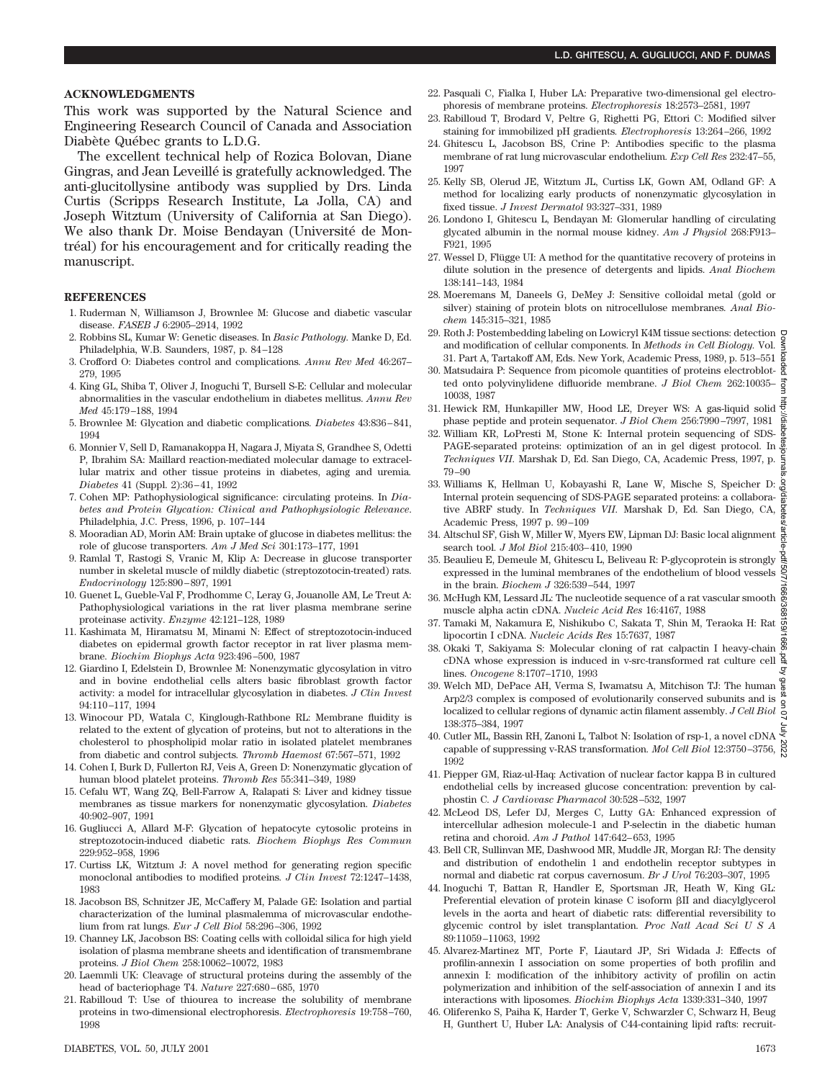## **ACKNOWLEDGMENTS**

This work was supported by the Natural Science and Engineering Research Council of Canada and Association Diabète Québec grants to L.D.G.

The excellent technical help of Rozica Bolovan, Diane Gingras, and Jean Leveillé is gratefully acknowledged. The anti-glucitollysine antibody was supplied by Drs. Linda Curtis (Scripps Research Institute, La Jolla, CA) and Joseph Witztum (University of California at San Diego). We also thank Dr. Moise Bendayan (Université de Montréal) for his encouragement and for critically reading the manuscript.

#### **REFERENCES**

- 1. Ruderman N, Williamson J, Brownlee M: Glucose and diabetic vascular disease. *FASEB J* 6:2905–2914, 1992
- 2. Robbins SL, Kumar W: Genetic diseases. In *Basic Pathology.* Manke D, Ed. Philadelphia, W.B. Saunders, 1987, p. 84–128
- 3. Crofford O: Diabetes control and complications*. Annu Rev Med* 46:267– 279, 1995
- 4. King GL, Shiba T, Oliver J, Inoguchi T, Bursell S-E: Cellular and molecular abnormalities in the vascular endothelium in diabetes mellitus. *Annu Rev Med* 45:179–188, 1994
- 5. Brownlee M: Glycation and diabetic complications*. Diabetes* 43:836–841, 1994
- 6. Monnier V, Sell D, Ramanakoppa H, Nagara J, Miyata S, Grandhee S, Odetti P, Ibrahim SA: Maillard reaction-mediated molecular damage to extracellular matrix and other tissue proteins in diabetes, aging and uremia*. Diabetes* 41 (Suppl. 2):36–41, 1992
- 7. Cohen MP: Pathophysiological significance: circulating proteins. In *Diabetes and Protein Glycation: Clinical and Pathophysiologic Relevance*. Philadelphia, J.C. Press, 1996, p. 107–144
- 8. Mooradian AD, Morin AM: Brain uptake of glucose in diabetes mellitus: the role of glucose transporters*. Am J Med Sci* 301:173–177, 1991
- 9. Ramlal T, Rastogi S, Vranic M, Klip A: Decrease in glucose transporter number in skeletal muscle of mildly diabetic (streptozotocin-treated) rats. *Endocrinology* 125:890–897, 1991
- 10. Guenet L, Gueble-Val F, Prodhomme C, Leray G, Jouanolle AM, Le Treut A: Pathophysiological variations in the rat liver plasma membrane serine proteinase activity. *Enzyme* 42:121–128, 1989
- 11. Kashimata M, Hiramatsu M, Minami N: Effect of streptozotocin-induced diabetes on epidermal growth factor receptor in rat liver plasma membrane*. Biochim Biophys Acta* 923:496–500, 1987
- 12. Giardino I, Edelstein D, Brownlee M: Nonenzymatic glycosylation in vitro and in bovine endothelial cells alters basic fibroblast growth factor activity: a model for intracellular glycosylation in diabetes. *J Clin Invest* 94:110–117, 1994
- 13. Winocour PD, Watala C, Kinglough-Rathbone RL: Membrane fluidity is related to the extent of glycation of proteins, but not to alterations in the cholesterol to phospholipid molar ratio in isolated platelet membranes from diabetic and control subjects*. Thromb Haemost* 67:567–571, 1992
- 14. Cohen I, Burk D, Fullerton RJ, Veis A, Green D: Nonenzymatic glycation of human blood platelet proteins. *Thromb Res* 55:341–349, 1989
- 15. Cefalu WT, Wang ZQ, Bell-Farrow A, Ralapati S: Liver and kidney tissue membranes as tissue markers for nonenzymatic glycosylation. *Diabetes* 40:902–907, 1991
- 16. Gugliucci A, Allard M-F: Glycation of hepatocyte cytosolic proteins in streptozotocin-induced diabetic rats. *Biochem Biophys Res Commun* 229:952–958, 1996
- 17. Curtiss LK, Witztum J: A novel method for generating region specific monoclonal antibodies to modified proteins*. J Clin Invest* 72:1247–1438, 1983
- 18. Jacobson BS, Schnitzer JE, McCaffery M, Palade GE: Isolation and partial characterization of the luminal plasmalemma of microvascular endothelium from rat lungs. *Eur J Cell Biol* 58:296–306, 1992
- 19. Channey LK, Jacobson BS: Coating cells with colloidal silica for high yield isolation of plasma membrane sheets and identification of transmembrane proteins. *J Biol Chem* 258:10062–10072, 1983
- 20. Laemmli UK: Cleavage of structural proteins during the assembly of the head of bacteriophage T4. *Nature* 227:680–685, 1970
- 21. Rabilloud T: Use of thiourea to increase the solubility of membrane proteins in two-dimensional electrophoresis. *Electrophoresis* 19:758–760, 1998
- 22. Pasquali C, Fialka I, Huber LA: Preparative two-dimensional gel electrophoresis of membrane proteins. *Electrophoresis* 18:2573–2581, 1997
- 23. Rabilloud T, Brodard V, Peltre G, Righetti PG, Ettori C: Modified silver staining for immobilized pH gradients*. Electrophoresis* 13:264–266, 1992
- 24. Ghitescu L, Jacobson BS, Crine P: Antibodies specific to the plasma membrane of rat lung microvascular endothelium*. Exp Cell Res* 232:47–55, 1997
- 25. Kelly SB, Olerud JE, Witztum JL, Curtiss LK, Gown AM, Odland GF: A method for localizing early products of nonenzymatic glycosylation in fixed tissue. *J Invest Dermatol* 93:327–331, 1989
- 26. Londono I, Ghitescu L, Bendayan M: Glomerular handling of circulating glycated albumin in the normal mouse kidney. *Am J Physiol* 268:F913– F921, 1995
- 27. Wessel D, Flügge UI: A method for the quantitative recovery of proteins in dilute solution in the presence of detergents and lipids. *Anal Biochem* 138:141–143, 1984
- 28. Moeremans M, Daneels G, DeMey J: Sensitive colloidal metal (gold or silver) staining of protein blots on nitrocellulose membranes*. Anal Biochem* 145:315–321, 1985
- 29. Roth J: Postembedding labeling on Lowicryl K4M tissue sections: detection and modification of cellular components. In *Methods in Cell Biology.* Vol. 31. Part A, Tartakoff AM, Eds. New York, Academic Press, 1989, p. 513–551
- 30. Matsudaira P: Sequence from picomole quantities of proteins electroblotted onto polyvinylidene difluoride membrane. *J Biol Chem* 262:10035– 10038, 1987
- 31. Hewick RM, Hunkapiller MW, Hood LE, Dreyer WS: A gas-liquid solid  $\frac{5}{5}$ phase peptide and protein sequenator. *J Biol Chem* 256:7990–7997, 1981
- 32. William KR, LoPresti M, Stone K: Internal protein sequencing of SDS-PAGE-separated proteins: optimization of an in gel digest protocol. In  $\frac{9}{6}$ *Techniques VII.* Marshak D, Ed. San Diego, CA, Academic Press, 1997, p. 79–90
- 33. Williams K, Hellman U, Kobayashi R, Lane W, Mische S, Speicher D: Internal protein sequencing of SDS-PAGE separated proteins: a collaborative ABRF study. In *Techniques VII.* Marshak D, Ed. San Diego, CA, Academic Press, 1997 p. 99–109
- 34. Altschul SF, Gish W, Miller W, Myers EW, Lipman DJ: Basic local alignment search tool*. J Mol Biol* 215:403–410, 1990
- 35. Beaulieu E, Demeule M, Ghitescu L, Beliveau R: P-glycoprotein is strongly Example 2. Demeule M, Ghitescu L, Beliveau R: P-glycoprotein is strongly  $\frac{a}{s}$  expressed in the luminal membranes of the endothelium of blood vessels  $\frac{a}{s}$ in the brain. *Biochem J* 326:539–544, 1997
- 36. McHugh KM, Lessard JL: The nucleotide sequence of a rat vascular smooth muscle alpha actin cDNA. *Nucleic Acid Res* 16:4167, 1988
- 37. Tamaki M, Nakamura E, Nishikubo C, Sakata T, Shin M, Teraoka H: Rat lipocortin I cDNA. *Nucleic Acids Res* 15:7637, 1987
- 38. Okaki T, Sakiyama S: Molecular cloning of rat calpactin I heavy-chain cDNA whose expression is induced in v-src-transformed rat culture cell  $\frac{a}{g}$ lines. *Oncogene* 8:1707–1710, 1993
- 39. Welch MD, DePace AH, Verma S, Iwamatsu A, Mitchison TJ: The human  $\frac{a}{5}$ Arp2/3 complex is composed of evolutionarily conserved subunits and is localized to cellular regions of dynamic actin filament assembly. *J Cell Biol* 138:375–384, 1997 Downloaded from http://diabetesjournals.org/diabetes/article-pdf/50/7/1666/368159/1666.pdf by guest on 07 July 2022
- 40. Cutler ML, Bassin RH, Zanoni L, Talbot N: Isolation of rsp-1, a novel cDNA capable of suppressing v-RAS transformation*. Mol Cell Biol* 12:3750–3756, 1992
- 41. Piepper GM, Riaz-ul-Haq: Activation of nuclear factor kappa B in cultured endothelial cells by increased glucose concentration: prevention by calphostin C*. J Cardiovasc Pharmacol* 30:528–532, 1997
- 42. McLeod DS, Lefer DJ, Merges C, Lutty GA: Enhanced expression of intercellular adhesion molecule-1 and P-selectin in the diabetic human retina and choroid. *Am J Pathol* 147:642–653, 1995
- 43. Bell CR, Sullinvan ME, Dashwood MR, Muddle JR, Morgan RJ: The density and distribution of endothelin 1 and endothelin receptor subtypes in normal and diabetic rat corpus cavernosum. *Br J Urol* 76:203–307, 1995
- 44. Inoguchi T, Battan R, Handler E, Sportsman JR, Heath W, King GL: Preferential elevation of protein kinase C isoform  $\beta$ II and diacylglycerol levels in the aorta and heart of diabetic rats: differential reversibility to glycemic control by islet transplantation*. Proc Natl Acad SciUSA* 89:11059–11063, 1992
- 45. Alvarez-Martinez MT, Porte F, Liautard JP, Sri Widada J: Effects of profilin-annexin I association on some properties of both profilin and annexin I: modification of the inhibitory activity of profilin on actin polymerization and inhibition of the self-association of annexin I and its interactions with liposomes. *Biochim Biophys Acta* 1339:331–340, 1997
- 46. Oliferenko S, Paiha K, Harder T, Gerke V, Schwarzler C, Schwarz H, Beug H, Gunthert U, Huber LA: Analysis of C44-containing lipid rafts: recruit-